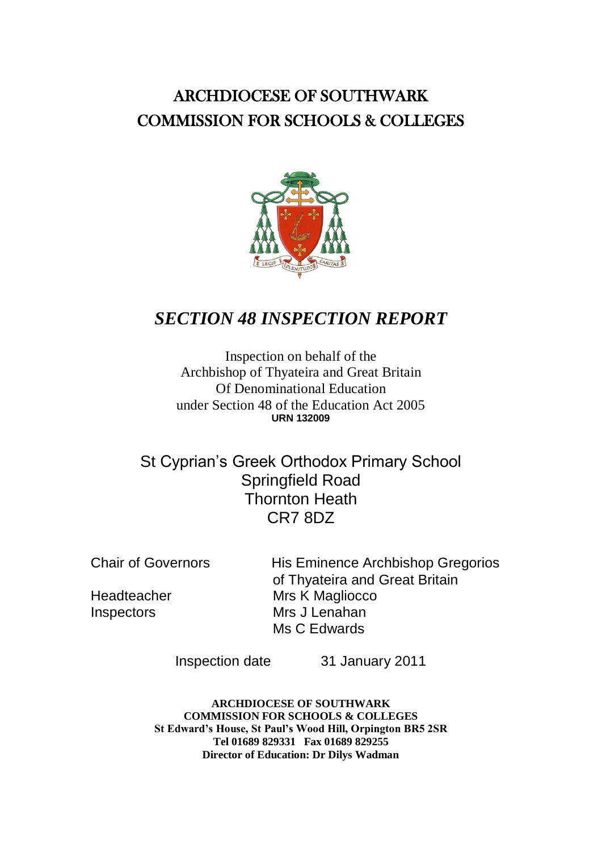### ARCHDIOCESE OF SOUTHWARK COMMISSION FOR SCHOOLS & COLLEGES



### *SECTION 48 INSPECTION REPORT*

Inspection on behalf of the Archbishop of Thyateira and Great Britain Of Denominational Education under Section 48 of the Education Act 2005 **URN 132009**

St Cyprian's Greek Orthodox Primary School Springfield Road Thornton Heath CR7 8DZ

Chair of Governors His Eminence Archbishop Gregorios of Thyateira and Great Britain Headteacher Mrs K Magliocco Inspectors Mrs J Lenahan Ms C Edwards

Inspection date 31 January 2011

**ARCHDIOCESE OF SOUTHWARK COMMISSION FOR SCHOOLS & COLLEGES St Edward's House, St Paul's Wood Hill, Orpington BR5 2SR Tel 01689 829331 Fax 01689 829255 Director of Education: Dr Dilys Wadman**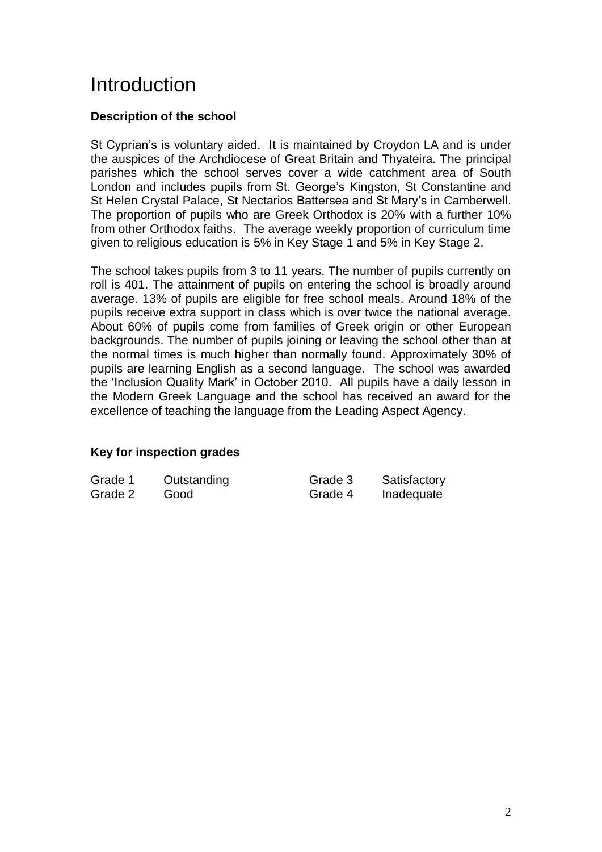## Introduction

### **Description of the school**

St Cyprian's is voluntary aided. It is maintained by Croydon LA and is under the auspices of the Archdiocese of Great Britain and Thyateira. The principal parishes which the school serves cover a wide catchment area of South London and includes pupils from St. George's Kingston, St Constantine and St Helen Crystal Palace, St Nectarios Battersea and St Mary's in Camberwell. The proportion of pupils who are Greek Orthodox is 20% with a further 10% from other Orthodox faiths. The average weekly proportion of curriculum time given to religious education is 5% in Key Stage 1 and 5% in Key Stage 2.

The school takes pupils from 3 to 11 years. The number of pupils currently on roll is 401. The attainment of pupils on entering the school is broadly around average. 13% of pupils are eligible for free school meals. Around 18% of the pupils receive extra support in class which is over twice the national average. About 60% of pupils come from families of Greek origin or other European backgrounds. The number of pupils joining or leaving the school other than at the normal times is much higher than normally found. Approximately 30% of pupils are learning English as a second language. The school was awarded the 'Inclusion Quality Mark' in October 2010. All pupils have a daily lesson in the Modern Greek Language and the school has received an award for the excellence of teaching the language from the Leading Aspect Agency.

#### **Key for inspection grades**

| Grade 1 | Outstanding | Grade 3 | Satisfactory |
|---------|-------------|---------|--------------|
| Grade 2 | Good        | Grade 4 | Inadequate   |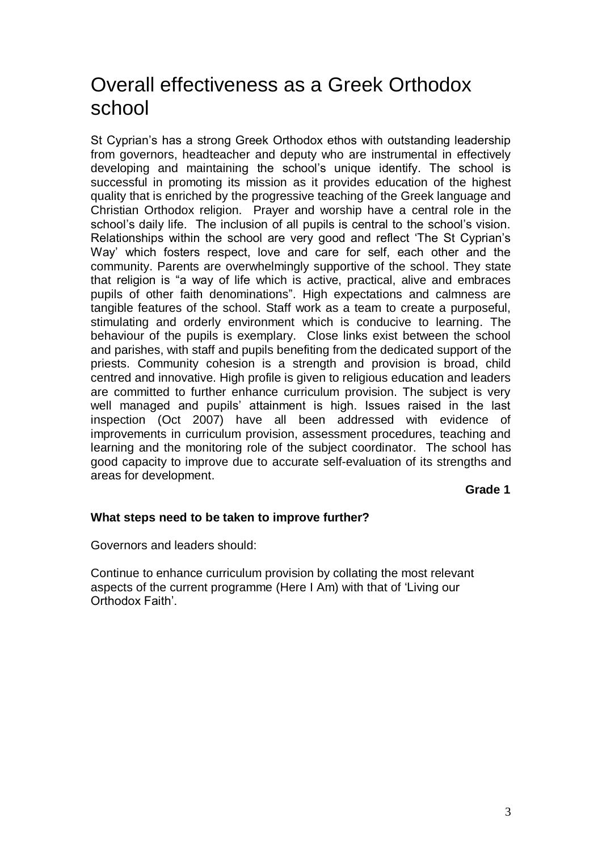## Overall effectiveness as a Greek Orthodox school

St Cyprian's has a strong Greek Orthodox ethos with outstanding leadership from governors, headteacher and deputy who are instrumental in effectively developing and maintaining the school's unique identify. The school is successful in promoting its mission as it provides education of the highest quality that is enriched by the progressive teaching of the Greek language and Christian Orthodox religion. Prayer and worship have a central role in the school's daily life. The inclusion of all pupils is central to the school's vision. Relationships within the school are very good and reflect 'The St Cyprian's Way' which fosters respect, love and care for self, each other and the community. Parents are overwhelmingly supportive of the school. They state that religion is "a way of life which is active, practical, alive and embraces pupils of other faith denominations". High expectations and calmness are tangible features of the school. Staff work as a team to create a purposeful, stimulating and orderly environment which is conducive to learning. The behaviour of the pupils is exemplary. Close links exist between the school and parishes, with staff and pupils benefiting from the dedicated support of the priests. Community cohesion is a strength and provision is broad, child centred and innovative. High profile is given to religious education and leaders are committed to further enhance curriculum provision. The subject is very well managed and pupils' attainment is high. Issues raised in the last inspection (Oct 2007) have all been addressed with evidence of improvements in curriculum provision, assessment procedures, teaching and learning and the monitoring role of the subject coordinator. The school has good capacity to improve due to accurate self-evaluation of its strengths and areas for development.

**Grade 1**

#### **What steps need to be taken to improve further?**

Governors and leaders should:

Continue to enhance curriculum provision by collating the most relevant aspects of the current programme (Here I Am) with that of 'Living our Orthodox Faith'.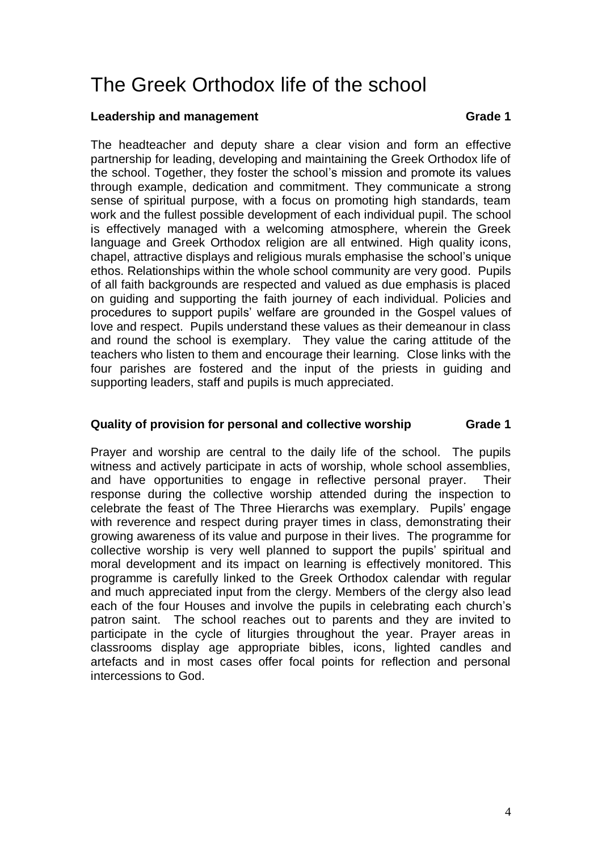# The Greek Orthodox life of the school

#### **Leadership and management Crame Crame Crame Crame 1**

The headteacher and deputy share a clear vision and form an effective partnership for leading, developing and maintaining the Greek Orthodox life of the school. Together, they foster the school's mission and promote its values through example, dedication and commitment. They communicate a strong sense of spiritual purpose, with a focus on promoting high standards, team work and the fullest possible development of each individual pupil. The school is effectively managed with a welcoming atmosphere, wherein the Greek language and Greek Orthodox religion are all entwined. High quality icons, chapel, attractive displays and religious murals emphasise the school's unique ethos. Relationships within the whole school community are very good. Pupils of all faith backgrounds are respected and valued as due emphasis is placed on guiding and supporting the faith journey of each individual. Policies and procedures to support pupils' welfare are grounded in the Gospel values of love and respect. Pupils understand these values as their demeanour in class and round the school is exemplary. They value the caring attitude of the teachers who listen to them and encourage their learning. Close links with the four parishes are fostered and the input of the priests in guiding and supporting leaders, staff and pupils is much appreciated.

#### **Quality of provision for personal and collective worship Grade 1**

Prayer and worship are central to the daily life of the school. The pupils witness and actively participate in acts of worship, whole school assemblies, and have opportunities to engage in reflective personal prayer. Their response during the collective worship attended during the inspection to celebrate the feast of The Three Hierarchs was exemplary. Pupils' engage with reverence and respect during prayer times in class, demonstrating their growing awareness of its value and purpose in their lives. The programme for collective worship is very well planned to support the pupils' spiritual and moral development and its impact on learning is effectively monitored. This programme is carefully linked to the Greek Orthodox calendar with regular and much appreciated input from the clergy. Members of the clergy also lead each of the four Houses and involve the pupils in celebrating each church's patron saint. The school reaches out to parents and they are invited to participate in the cycle of liturgies throughout the year. Prayer areas in classrooms display age appropriate bibles, icons, lighted candles and artefacts and in most cases offer focal points for reflection and personal intercessions to God.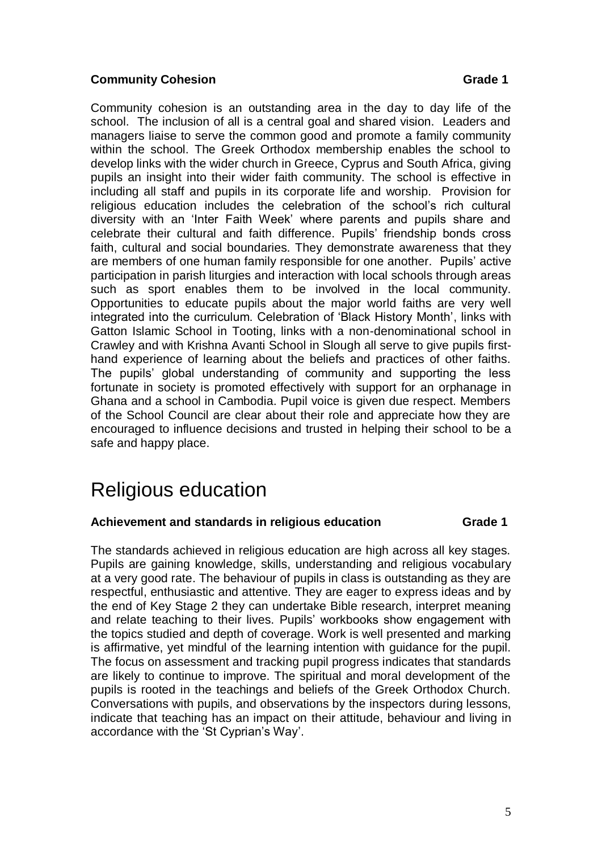#### **Community Cohesion Grade 1**

Community cohesion is an outstanding area in the day to day life of the school. The inclusion of all is a central goal and shared vision. Leaders and managers liaise to serve the common good and promote a family community within the school. The Greek Orthodox membership enables the school to develop links with the wider church in Greece, Cyprus and South Africa, giving pupils an insight into their wider faith community. The school is effective in including all staff and pupils in its corporate life and worship. Provision for religious education includes the celebration of the school's rich cultural diversity with an 'Inter Faith Week' where parents and pupils share and celebrate their cultural and faith difference. Pupils' friendship bonds cross faith, cultural and social boundaries. They demonstrate awareness that they are members of one human family responsible for one another. Pupils' active participation in parish liturgies and interaction with local schools through areas such as sport enables them to be involved in the local community. Opportunities to educate pupils about the major world faiths are very well integrated into the curriculum. Celebration of 'Black History Month', links with Gatton Islamic School in Tooting, links with a non-denominational school in Crawley and with Krishna Avanti School in Slough all serve to give pupils firsthand experience of learning about the beliefs and practices of other faiths. The pupils' global understanding of community and supporting the less fortunate in society is promoted effectively with support for an orphanage in Ghana and a school in Cambodia. Pupil voice is given due respect. Members of the School Council are clear about their role and appreciate how they are encouraged to influence decisions and trusted in helping their school to be a safe and happy place.

# Religious education

#### **Achievement and standards in religious education Grade 1**

The standards achieved in religious education are high across all key stages. Pupils are gaining knowledge, skills, understanding and religious vocabulary at a very good rate. The behaviour of pupils in class is outstanding as they are respectful, enthusiastic and attentive. They are eager to express ideas and by the end of Key Stage 2 they can undertake Bible research, interpret meaning and relate teaching to their lives. Pupils' workbooks show engagement with the topics studied and depth of coverage. Work is well presented and marking is affirmative, yet mindful of the learning intention with guidance for the pupil. The focus on assessment and tracking pupil progress indicates that standards are likely to continue to improve. The spiritual and moral development of the pupils is rooted in the teachings and beliefs of the Greek Orthodox Church. Conversations with pupils, and observations by the inspectors during lessons, indicate that teaching has an impact on their attitude, behaviour and living in accordance with the 'St Cyprian's Way'.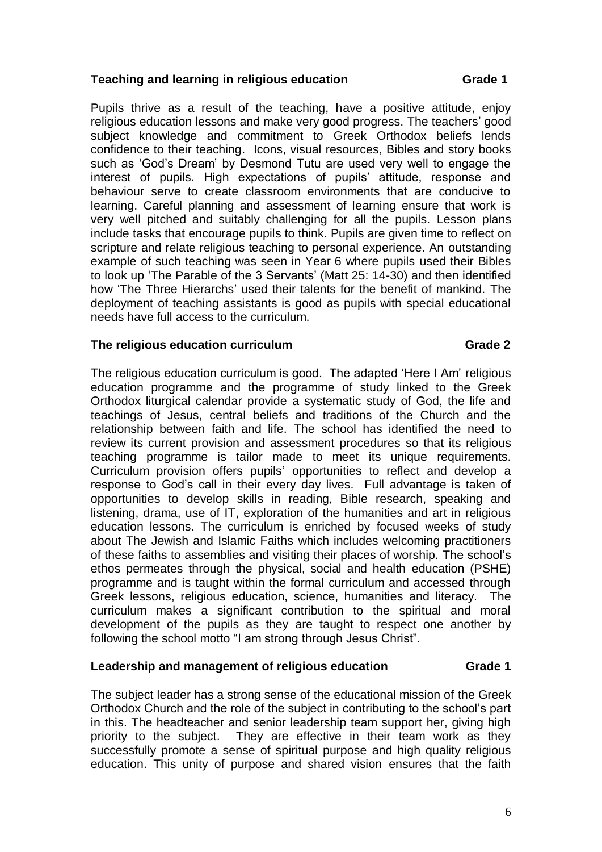#### **Teaching and learning in religious education Grade 1**

Pupils thrive as a result of the teaching, have a positive attitude, enjoy religious education lessons and make very good progress. The teachers' good subject knowledge and commitment to Greek Orthodox beliefs lends confidence to their teaching. Icons, visual resources, Bibles and story books such as 'God's Dream' by Desmond Tutu are used very well to engage the interest of pupils. High expectations of pupils' attitude, response and behaviour serve to create classroom environments that are conducive to learning. Careful planning and assessment of learning ensure that work is very well pitched and suitably challenging for all the pupils. Lesson plans include tasks that encourage pupils to think. Pupils are given time to reflect on scripture and relate religious teaching to personal experience. An outstanding example of such teaching was seen in Year 6 where pupils used their Bibles to look up 'The Parable of the 3 Servants' (Matt 25: 14-30) and then identified how 'The Three Hierarchs' used their talents for the benefit of mankind. The deployment of teaching assistants is good as pupils with special educational needs have full access to the curriculum.

#### The religious education curriculum and the contract of the crace 2

The religious education curriculum is good. The adapted 'Here I Am' religious education programme and the programme of study linked to the Greek Orthodox liturgical calendar provide a systematic study of God, the life and teachings of Jesus, central beliefs and traditions of the Church and the relationship between faith and life. The school has identified the need to review its current provision and assessment procedures so that its religious teaching programme is tailor made to meet its unique requirements. Curriculum provision offers pupils' opportunities to reflect and develop a response to God's call in their every day lives. Full advantage is taken of opportunities to develop skills in reading, Bible research, speaking and listening, drama, use of IT, exploration of the humanities and art in religious education lessons. The curriculum is enriched by focused weeks of study about The Jewish and Islamic Faiths which includes welcoming practitioners of these faiths to assemblies and visiting their places of worship. The school's ethos permeates through the physical, social and health education (PSHE) programme and is taught within the formal curriculum and accessed through Greek lessons, religious education, science, humanities and literacy. The curriculum makes a significant contribution to the spiritual and moral development of the pupils as they are taught to respect one another by following the school motto "I am strong through Jesus Christ".

#### **Leadership and management of religious education Grade 1**

The subject leader has a strong sense of the educational mission of the Greek Orthodox Church and the role of the subject in contributing to the school's part in this. The headteacher and senior leadership team support her, giving high priority to the subject. They are effective in their team work as they successfully promote a sense of spiritual purpose and high quality religious education. This unity of purpose and shared vision ensures that the faith